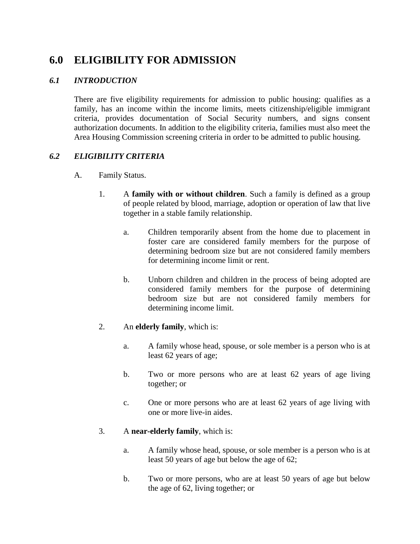# **6.0 ELIGIBILITY FOR ADMISSION**

## *6.1 INTRODUCTION*

There are five eligibility requirements for admission to public housing: qualifies as a family, has an income within the income limits, meets citizenship/eligible immigrant criteria, provides documentation of Social Security numbers, and signs consent authorization documents. In addition to the eligibility criteria, families must also meet the Area Housing Commission screening criteria in order to be admitted to public housing.

## *6.2 ELIGIBILITY CRITERIA*

- A. Family Status.
	- 1. A **family with or without children**. Such a family is defined as a group of people related by blood, marriage, adoption or operation of law that live together in a stable family relationship.
		- a. Children temporarily absent from the home due to placement in foster care are considered family members for the purpose of determining bedroom size but are not considered family members for determining income limit or rent.
		- b. Unborn children and children in the process of being adopted are considered family members for the purpose of determining bedroom size but are not considered family members for determining income limit.

## 2. An **elderly family**, which is:

- a. A family whose head, spouse, or sole member is a person who is at least 62 years of age;
- b. Two or more persons who are at least 62 years of age living together; or
- c. One or more persons who are at least 62 years of age living with one or more live-in aides.

#### 3. A **near-elderly family**, which is:

- a. A family whose head, spouse, or sole member is a person who is at least 50 years of age but below the age of 62;
- b. Two or more persons, who are at least 50 years of age but below the age of 62, living together; or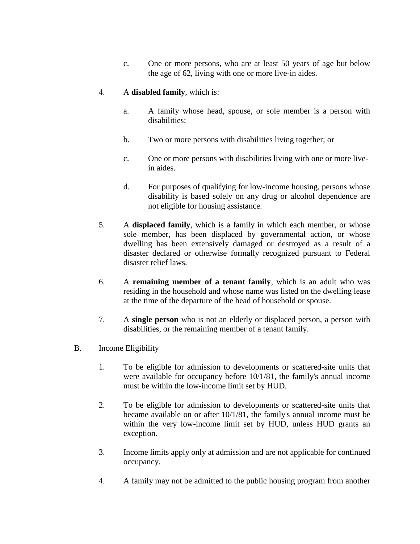c. One or more persons, who are at least 50 years of age but below the age of 62, living with one or more live-in aides.

### 4. A **disabled family**, which is:

- a. A family whose head, spouse, or sole member is a person with disabilities;
- b. Two or more persons with disabilities living together; or
- c. One or more persons with disabilities living with one or more livein aides.
- d. For purposes of qualifying for low-income housing, persons whose disability is based solely on any drug or alcohol dependence are not eligible for housing assistance.
- 5. A **displaced family**, which is a family in which each member, or whose sole member, has been displaced by governmental action, or whose dwelling has been extensively damaged or destroyed as a result of a disaster declared or otherwise formally recognized pursuant to Federal disaster relief laws.
- 6. A **remaining member of a tenant family**, which is an adult who was residing in the household and whose name was listed on the dwelling lease at the time of the departure of the head of household or spouse.
- 7. A **single person** who is not an elderly or displaced person, a person with disabilities, or the remaining member of a tenant family.
- B. Income Eligibility
	- 1. To be eligible for admission to developments or scattered-site units that were available for occupancy before 10/1/81, the family's annual income must be within the low-income limit set by HUD.
	- 2. To be eligible for admission to developments or scattered-site units that became available on or after 10/1/81, the family's annual income must be within the very low-income limit set by HUD, unless HUD grants an exception.
	- 3. Income limits apply only at admission and are not applicable for continued occupancy.
	- 4. A family may not be admitted to the public housing program from another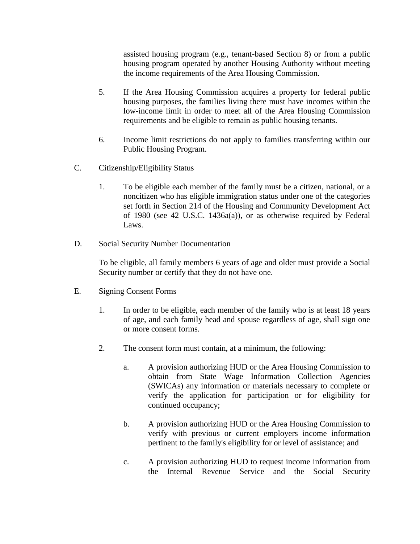assisted housing program (e.g., tenant-based Section 8) or from a public housing program operated by another Housing Authority without meeting the income requirements of the Area Housing Commission.

- 5. If the Area Housing Commission acquires a property for federal public housing purposes, the families living there must have incomes within the low-income limit in order to meet all of the Area Housing Commission requirements and be eligible to remain as public housing tenants.
- 6. Income limit restrictions do not apply to families transferring within our Public Housing Program.
- C. Citizenship/Eligibility Status
	- 1. To be eligible each member of the family must be a citizen, national, or a noncitizen who has eligible immigration status under one of the categories set forth in Section 214 of the Housing and Community Development Act of 1980 (see 42 U.S.C. 1436a(a)), or as otherwise required by Federal Laws.
- D. Social Security Number Documentation

To be eligible, all family members 6 years of age and older must provide a Social Security number or certify that they do not have one.

- E. Signing Consent Forms
	- 1. In order to be eligible, each member of the family who is at least 18 years of age, and each family head and spouse regardless of age, shall sign one or more consent forms.
	- 2. The consent form must contain, at a minimum, the following:
		- a. A provision authorizing HUD or the Area Housing Commission to obtain from State Wage Information Collection Agencies (SWICAs) any information or materials necessary to complete or verify the application for participation or for eligibility for continued occupancy;
		- b. A provision authorizing HUD or the Area Housing Commission to verify with previous or current employers income information pertinent to the family's eligibility for or level of assistance; and
		- c. A provision authorizing HUD to request income information from the Internal Revenue Service and the Social Security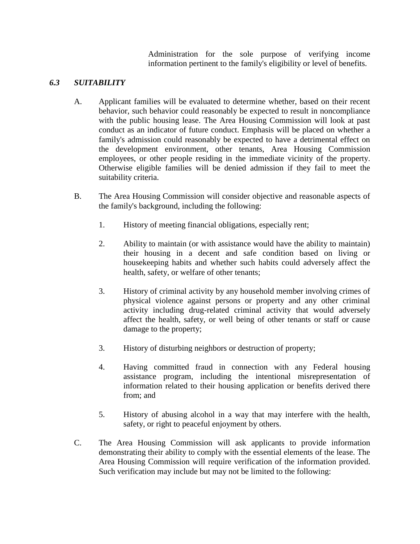Administration for the sole purpose of verifying income information pertinent to the family's eligibility or level of benefits.

## *6.3 SUITABILITY*

- A. Applicant families will be evaluated to determine whether, based on their recent behavior, such behavior could reasonably be expected to result in noncompliance with the public housing lease. The Area Housing Commission will look at past conduct as an indicator of future conduct. Emphasis will be placed on whether a family's admission could reasonably be expected to have a detrimental effect on the development environment, other tenants, Area Housing Commission employees, or other people residing in the immediate vicinity of the property. Otherwise eligible families will be denied admission if they fail to meet the suitability criteria.
- B. The Area Housing Commission will consider objective and reasonable aspects of the family's background, including the following:
	- 1. History of meeting financial obligations, especially rent;
	- 2. Ability to maintain (or with assistance would have the ability to maintain) their housing in a decent and safe condition based on living or housekeeping habits and whether such habits could adversely affect the health, safety, or welfare of other tenants;
	- 3. History of criminal activity by any household member involving crimes of physical violence against persons or property and any other criminal activity including drug-related criminal activity that would adversely affect the health, safety, or well being of other tenants or staff or cause damage to the property;
	- 3. History of disturbing neighbors or destruction of property;
	- 4. Having committed fraud in connection with any Federal housing assistance program, including the intentional misrepresentation of information related to their housing application or benefits derived there from; and
	- 5. History of abusing alcohol in a way that may interfere with the health, safety, or right to peaceful enjoyment by others.
- C. The Area Housing Commission will ask applicants to provide information demonstrating their ability to comply with the essential elements of the lease. The Area Housing Commission will require verification of the information provided. Such verification may include but may not be limited to the following: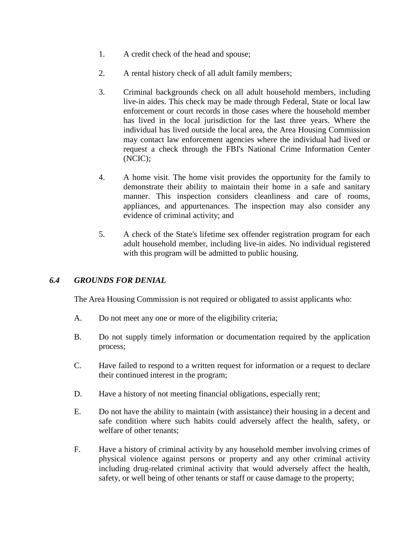- 1. A credit check of the head and spouse;
- 2. A rental history check of all adult family members;
- 3. Criminal backgrounds check on all adult household members, including live-in aides. This check may be made through Federal, State or local law enforcement or court records in those cases where the household member has lived in the local jurisdiction for the last three years. Where the individual has lived outside the local area, the Area Housing Commission may contact law enforcement agencies where the individual had lived or request a check through the FBI's National Crime Information Center (NCIC);
- 4. A home visit. The home visit provides the opportunity for the family to demonstrate their ability to maintain their home in a safe and sanitary manner. This inspection considers cleanliness and care of rooms, appliances, and appurtenances. The inspection may also consider any evidence of criminal activity; and
- 5. A check of the State's lifetime sex offender registration program for each adult household member, including live-in aides. No individual registered with this program will be admitted to public housing.

## *6.4 GROUNDS FOR DENIAL*

The Area Housing Commission is not required or obligated to assist applicants who:

- A. Do not meet any one or more of the eligibility criteria;
- B. Do not supply timely information or documentation required by the application process;
- C. Have failed to respond to a written request for information or a request to declare their continued interest in the program;
- D. Have a history of not meeting financial obligations, especially rent;
- E. Do not have the ability to maintain (with assistance) their housing in a decent and safe condition where such habits could adversely affect the health, safety, or welfare of other tenants;
- F. Have a history of criminal activity by any household member involving crimes of physical violence against persons or property and any other criminal activity including drug-related criminal activity that would adversely affect the health, safety, or well being of other tenants or staff or cause damage to the property;